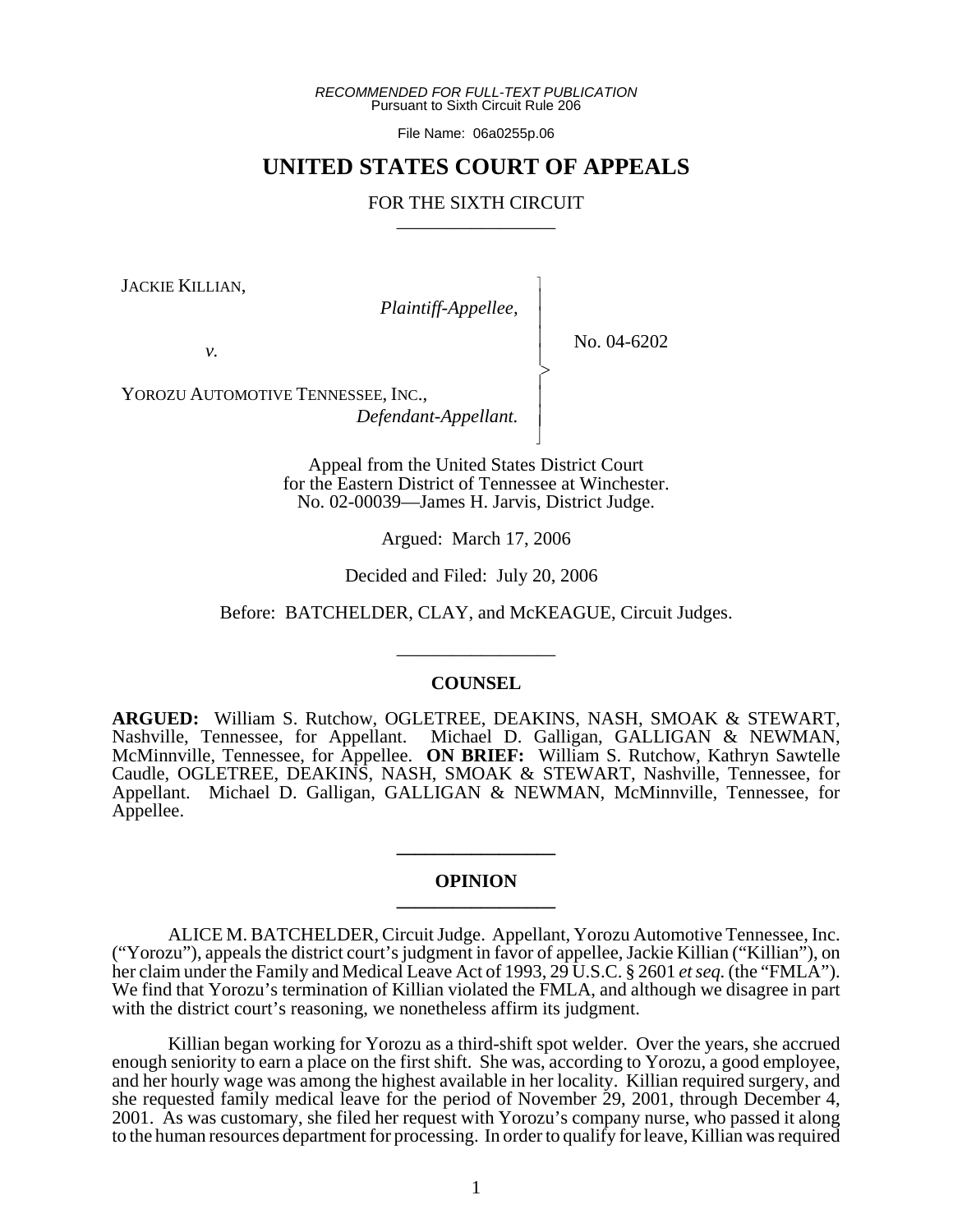*RECOMMENDED FOR FULL-TEXT PUBLICATION* Pursuant to Sixth Circuit Rule 206

File Name: 06a0255p.06

# **UNITED STATES COURT OF APPEALS**

## FOR THE SIXTH CIRCUIT

 $\overline{\phantom{a}}$ - - - -  $\succ$ |<br>|<br>| - - N

JACKIE KILLIAN,

*Plaintiff-Appellee,*

*v.*

No. 04-6202

YOROZU AUTOMOTIVE TENNESSEE, INC., *Defendant-Appellant.*

> Appeal from the United States District Court for the Eastern District of Tennessee at Winchester. No. 02-00039—James H. Jarvis, District Judge.

> > Argued: March 17, 2006

Decided and Filed: July 20, 2006

Before: BATCHELDER, CLAY, and McKEAGUE, Circuit Judges.

\_\_\_\_\_\_\_\_\_\_\_\_\_\_\_\_\_

## **COUNSEL**

**ARGUED:** William S. Rutchow, OGLETREE, DEAKINS, NASH, SMOAK & STEWART, Nashville, Tennessee, for Appellant. Michael D. Galligan, GALLIGAN & NEWMAN, McMinnville, Tennessee, for Appellee. **ON BRIEF:** William S. Rutchow, Kathryn Sawtelle Caudle, OGLETREE, DEAKINS, NASH, SMOAK & STEWART, Nashville, Tennessee, for Appellant. Michael D. Galligan, GALLIGAN & NEWMAN, McMinnville, Tennessee, for Appellee.

## **OPINION \_\_\_\_\_\_\_\_\_\_\_\_\_\_\_\_\_**

**\_\_\_\_\_\_\_\_\_\_\_\_\_\_\_\_\_**

ALICE M. BATCHELDER, Circuit Judge. Appellant, Yorozu Automotive Tennessee, Inc. ("Yorozu"), appeals the district court's judgment in favor of appellee, Jackie Killian ("Killian"), on her claim under the Family and Medical Leave Act of 1993, 29 U.S.C. § 2601 *et seq.* (the "FMLA"). We find that Yorozu's termination of Killian violated the FMLA, and although we disagree in part with the district court's reasoning, we nonetheless affirm its judgment.

Killian began working for Yorozu as a third-shift spot welder. Over the years, she accrued enough seniority to earn a place on the first shift. She was, according to Yorozu, a good employee, and her hourly wage was among the highest available in her locality. Killian required surgery, and she requested family medical leave for the period of November 29, 2001, through December 4, 2001. As was customary, she filed her request with Yorozu's company nurse, who passed it along to the human resources department for processing. In order to qualify for leave, Killian was required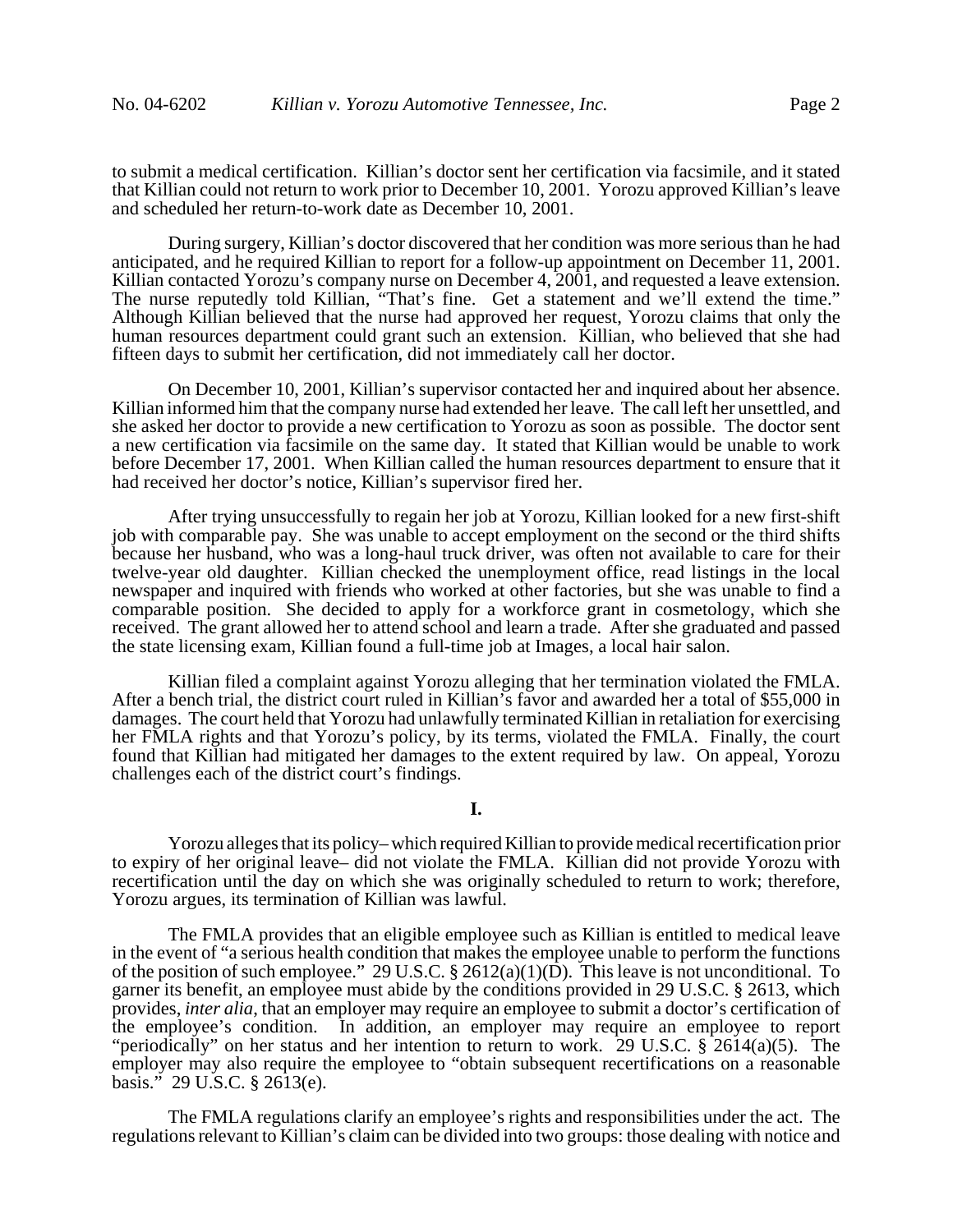to submit a medical certification. Killian's doctor sent her certification via facsimile, and it stated that Killian could not return to work prior to December 10, 2001. Yorozu approved Killian's leave and scheduled her return-to-work date as December 10, 2001.

During surgery, Killian's doctor discovered that her condition was more serious than he had anticipated, and he required Killian to report for a follow-up appointment on December 11, 2001. Killian contacted Yorozu's company nurse on December 4, 2001, and requested a leave extension. The nurse reputedly told Killian, "That's fine. Get a statement and we'll extend the time." Although Killian believed that the nurse had approved her request, Yorozu claims that only the human resources department could grant such an extension. Killian, who believed that she had fifteen days to submit her certification, did not immediately call her doctor.

On December 10, 2001, Killian's supervisor contacted her and inquired about her absence. Killian informed him that the company nurse had extended her leave. The call left her unsettled, and she asked her doctor to provide a new certification to Yorozu as soon as possible. The doctor sent a new certification via facsimile on the same day. It stated that Killian would be unable to work before December 17, 2001. When Killian called the human resources department to ensure that it had received her doctor's notice, Killian's supervisor fired her.

After trying unsuccessfully to regain her job at Yorozu, Killian looked for a new first-shift job with comparable pay. She was unable to accept employment on the second or the third shifts because her husband, who was a long-haul truck driver, was often not available to care for their twelve-year old daughter. Killian checked the unemployment office, read listings in the local newspaper and inquired with friends who worked at other factories, but she was unable to find a comparable position. She decided to apply for a workforce grant in cosmetology, which she received. The grant allowed her to attend school and learn a trade. After she graduated and passed the state licensing exam, Killian found a full-time job at Images, a local hair salon.

Killian filed a complaint against Yorozu alleging that her termination violated the FMLA. After a bench trial, the district court ruled in Killian's favor and awarded her a total of \$55,000 in damages. The court held that Yorozu had unlawfully terminated Killian in retaliation for exercising her FMLA rights and that Yorozu's policy, by its terms, violated the FMLA. Finally, the court found that Killian had mitigated her damages to the extent required by law. On appeal, Yorozu challenges each of the district court's findings.

**I.**

Yorozu alleges that its policy– which required Killian to provide medical recertification prior to expiry of her original leave– did not violate the FMLA. Killian did not provide Yorozu with recertification until the day on which she was originally scheduled to return to work; therefore, Yorozu argues, its termination of Killian was lawful.

The FMLA provides that an eligible employee such as Killian is entitled to medical leave in the event of "a serious health condition that makes the employee unable to perform the functions of the position of such employee." 29 U.S.C. § 2612(a)(1)(D). This leave is not unconditional. To garner its benefit, an employee must abide by the conditions provided in 29 U.S.C. § 2613, which provides, *inter alia*, that an employer may require an employee to submit a doctor's certification of the employee's condition. In addition, an employer may require an employee to report "periodically" on her status and her intention to return to work. 29 U.S.C.  $\S$  2614(a)(5). The employer may also require the employee to "obtain subsequent recertifications on a reasonable basis." 29 U.S.C. § 2613(e).

The FMLA regulations clarify an employee's rights and responsibilities under the act. The regulations relevant to Killian's claim can be divided into two groups: those dealing with notice and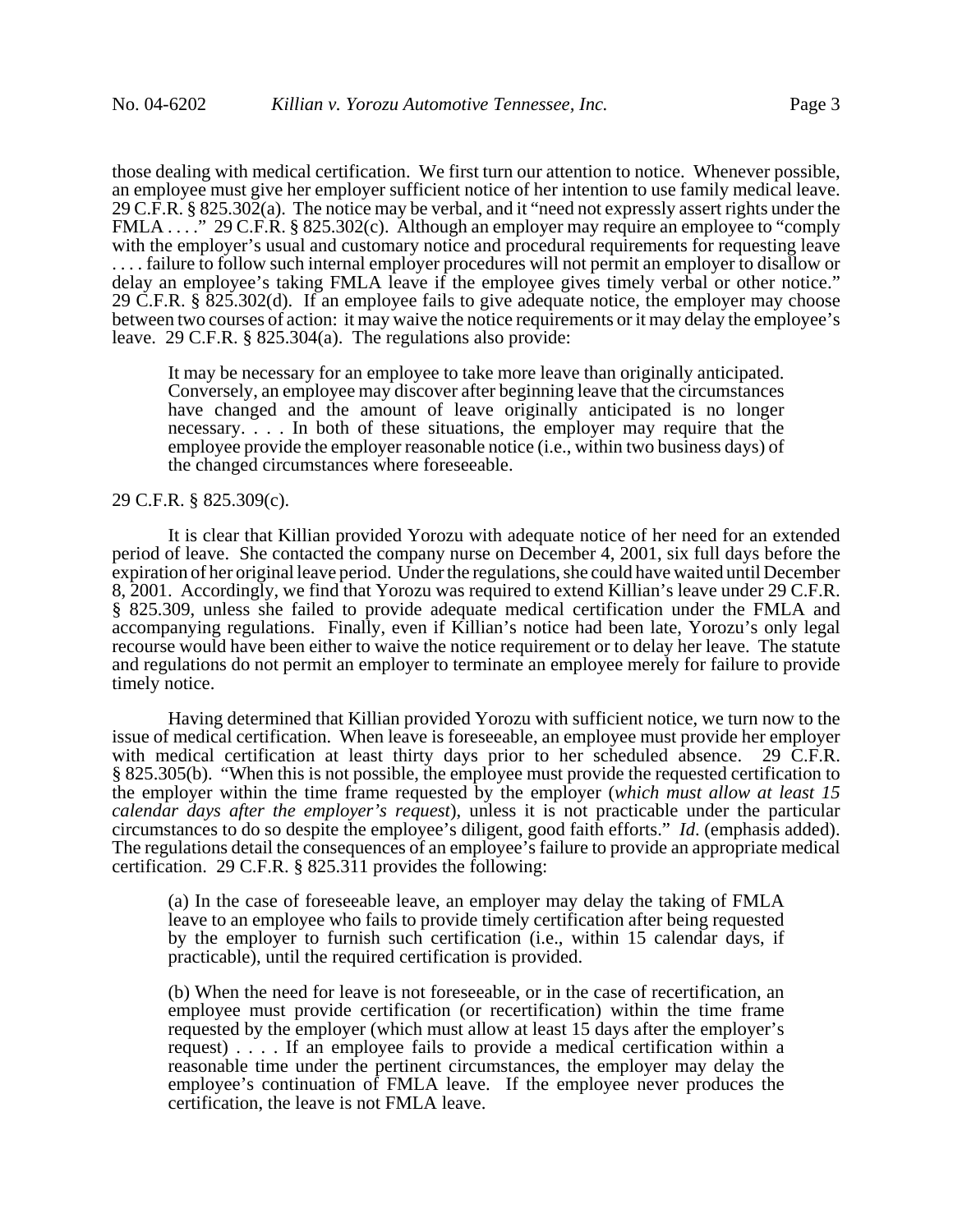those dealing with medical certification. We first turn our attention to notice. Whenever possible, an employee must give her employer sufficient notice of her intention to use family medical leave. 29 C.F.R. § 825.302(a). The notice may be verbal, and it "need not expressly assert rights under the FMLA . . . ." 29 C.F.R. § 825.302(c). Although an employer may require an employee to "comply" with the employer's usual and customary notice and procedural requirements for requesting leave . . . . failure to follow such internal employer procedures will not permit an employer to disallow or delay an employee's taking FMLA leave if the employee gives timely verbal or other notice." 29 C.F.R. § 825.302(d). If an employee fails to give adequate notice, the employer may choose between two courses of action: it may waive the notice requirements or it may delay the employee's leave. 29 C.F.R. § 825.304(a). The regulations also provide:

It may be necessary for an employee to take more leave than originally anticipated. Conversely, an employee may discover after beginning leave that the circumstances have changed and the amount of leave originally anticipated is no longer necessary. . . . In both of these situations, the employer may require that the employee provide the employer reasonable notice (i.e., within two business days) of the changed circumstances where foreseeable.

#### 29 C.F.R. § 825.309(c).

It is clear that Killian provided Yorozu with adequate notice of her need for an extended period of leave. She contacted the company nurse on December 4, 2001, six full days before the expiration of her original leave period. Under the regulations, she could have waited until December 8, 2001. Accordingly, we find that Yorozu was required to extend Killian's leave under 29 C.F.R. § 825.309, unless she failed to provide adequate medical certification under the FMLA and accompanying regulations. Finally, even if Killian's notice had been late, Yorozu's only legal recourse would have been either to waive the notice requirement or to delay her leave. The statute and regulations do not permit an employer to terminate an employee merely for failure to provide timely notice.

Having determined that Killian provided Yorozu with sufficient notice, we turn now to the issue of medical certification. When leave is foreseeable, an employee must provide her employer with medical certification at least thirty days prior to her scheduled absence. 29 C.F.R. § 825.305(b). "When this is not possible, the employee must provide the requested certification to the employer within the time frame requested by the employer (*which must allow at least 15 calendar days after the employer's request*), unless it is not practicable under the particular circumstances to do so despite the employee's diligent, good faith efforts." *Id*. (emphasis added). The regulations detail the consequences of an employee's failure to provide an appropriate medical certification. 29 C.F.R. § 825.311 provides the following:

(a) In the case of foreseeable leave, an employer may delay the taking of FMLA leave to an employee who fails to provide timely certification after being requested by the employer to furnish such certification (i.e., within 15 calendar days, if practicable), until the required certification is provided.

(b) When the need for leave is not foreseeable, or in the case of recertification, an employee must provide certification (or recertification) within the time frame requested by the employer (which must allow at least 15 days after the employer's request) . . . . If an employee fails to provide a medical certification within a reasonable time under the pertinent circumstances, the employer may delay the employee's continuation of FMLA leave. If the employee never produces the certification, the leave is not FMLA leave.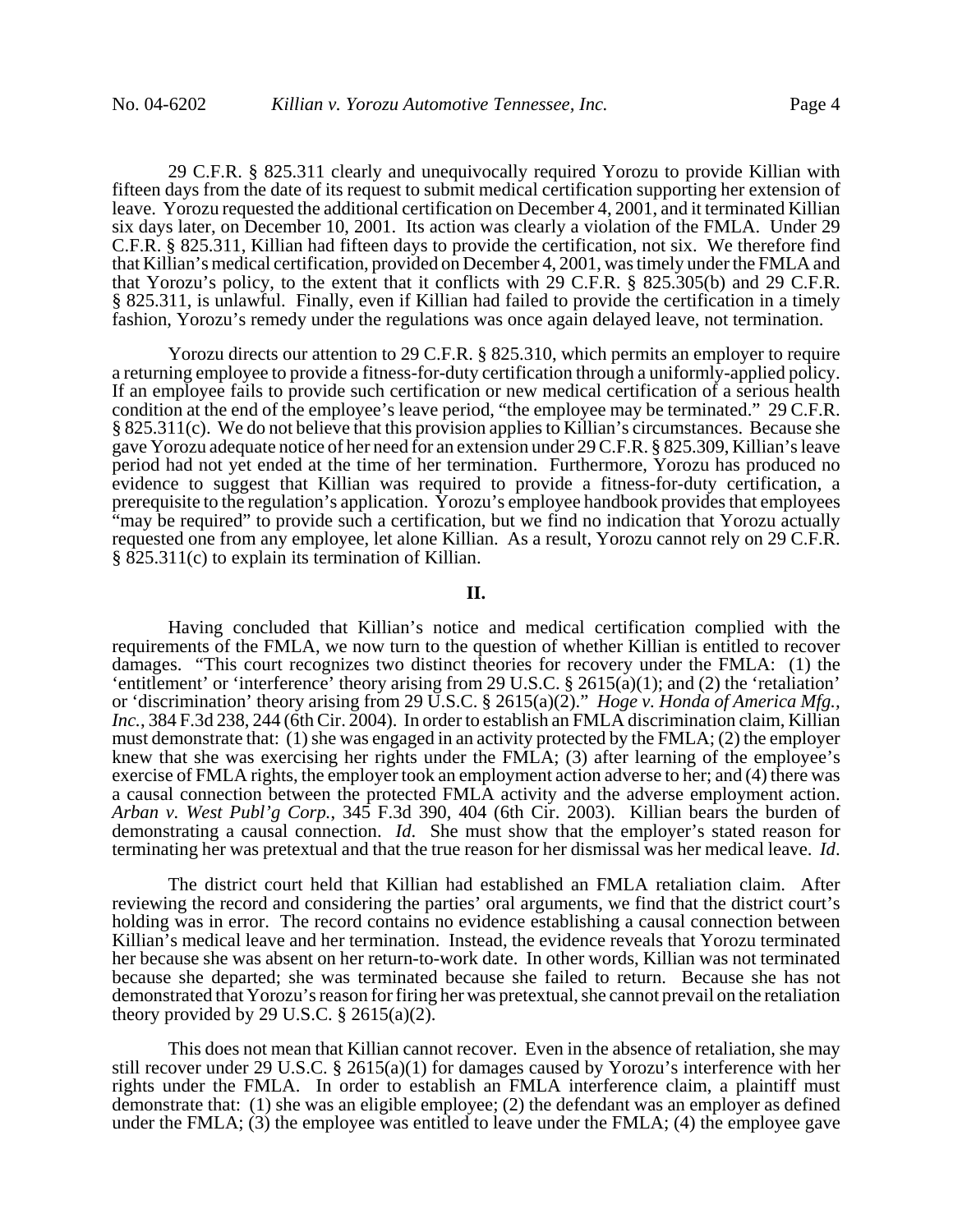29 C.F.R. § 825.311 clearly and unequivocally required Yorozu to provide Killian with fifteen days from the date of its request to submit medical certification supporting her extension of leave. Yorozu requested the additional certification on December 4, 2001, and it terminated Killian six days later, on December 10, 2001. Its action was clearly a violation of the FMLA. Under 29 C.F.R. § 825.311, Killian had fifteen days to provide the certification, not six. We therefore find that Killian's medical certification, provided on December 4, 2001, was timely under the FMLA and that Yorozu's policy, to the extent that it conflicts with 29 C.F.R. § 825.305(b) and 29 C.F.R. § 825.311, is unlawful. Finally, even if Killian had failed to provide the certification in a timely fashion, Yorozu's remedy under the regulations was once again delayed leave, not termination.

Yorozu directs our attention to 29 C.F.R. § 825.310, which permits an employer to require a returning employee to provide a fitness-for-duty certification through a uniformly-applied policy. If an employee fails to provide such certification or new medical certification of a serious health condition at the end of the employee's leave period, "the employee may be terminated." 29 C.F.R. § 825.311(c). We do not believe that this provision applies to Killian's circumstances. Because she gave Yorozu adequate notice of her need for an extension under 29 C.F.R. § 825.309, Killian's leave period had not yet ended at the time of her termination. Furthermore, Yorozu has produced no evidence to suggest that Killian was required to provide a fitness-for-duty certification, a prerequisite to the regulation's application. Yorozu's employee handbook provides that employees "may be required" to provide such a certification, but we find no indication that Yorozu actually requested one from any employee, let alone Killian. As a result, Yorozu cannot rely on 29 C.F.R. § 825.311(c) to explain its termination of Killian.

# **II.**

Having concluded that Killian's notice and medical certification complied with the requirements of the FMLA, we now turn to the question of whether Killian is entitled to recover damages. "This court recognizes two distinct theories for recovery under the FMLA: (1) the 'entitlement' or 'interference' theory arising from 29 U.S.C. § 2615(a)(1); and (2) the 'retaliation' or 'discrimination' theory arising from 29 U.S.C. § 2615(a)(2)." *Hoge v. Honda of America Mfg.,* Inc., 384 F.3d 238, 244 (6th Cir. 2004). In order to establish an FMLA discrimination claim, Killian must demonstrate that: (1) she was engaged in an activity protected by the FMLA; (2) the employer knew that she was exercising her rights under the FMLA; (3) after learning of the employee's exercise of FMLA rights, the employer took an employment action adverse to her; and (4) there was a causal connection between the protected FMLA activity and the adverse employment action. *Arban v. West Publ'g Corp.*, 345 F.3d 390, 404 (6th Cir. 2003). Killian bears the burden of demonstrating a causal connection. *Id*. She must show that the employer's stated reason for terminating her was pretextual and that the true reason for her dismissal was her medical leave. *Id*.

The district court held that Killian had established an FMLA retaliation claim. After reviewing the record and considering the parties' oral arguments, we find that the district court's holding was in error. The record contains no evidence establishing a causal connection between Killian's medical leave and her termination. Instead, the evidence reveals that Yorozu terminated her because she was absent on her return-to-work date. In other words, Killian was not terminated because she departed; she was terminated because she failed to return. Because she has not demonstrated that Yorozu's reason for firing her was pretextual, she cannot prevail on the retaliation theory provided by 29 U.S.C.  $\S$  2615(a)(2).

This does not mean that Killian cannot recover. Even in the absence of retaliation, she may still recover under 29 U.S.C. § 2615(a)(1) for damages caused by Yorozu's interference with her rights under the FMLA. In order to establish an FMLA interference claim, a plaintiff must demonstrate that: (1) she was an eligible employee; (2) the defendant was an employer as defined under the FMLA;  $(3)$  the employee was entitled to leave under the FMLA;  $(4)$  the employee gave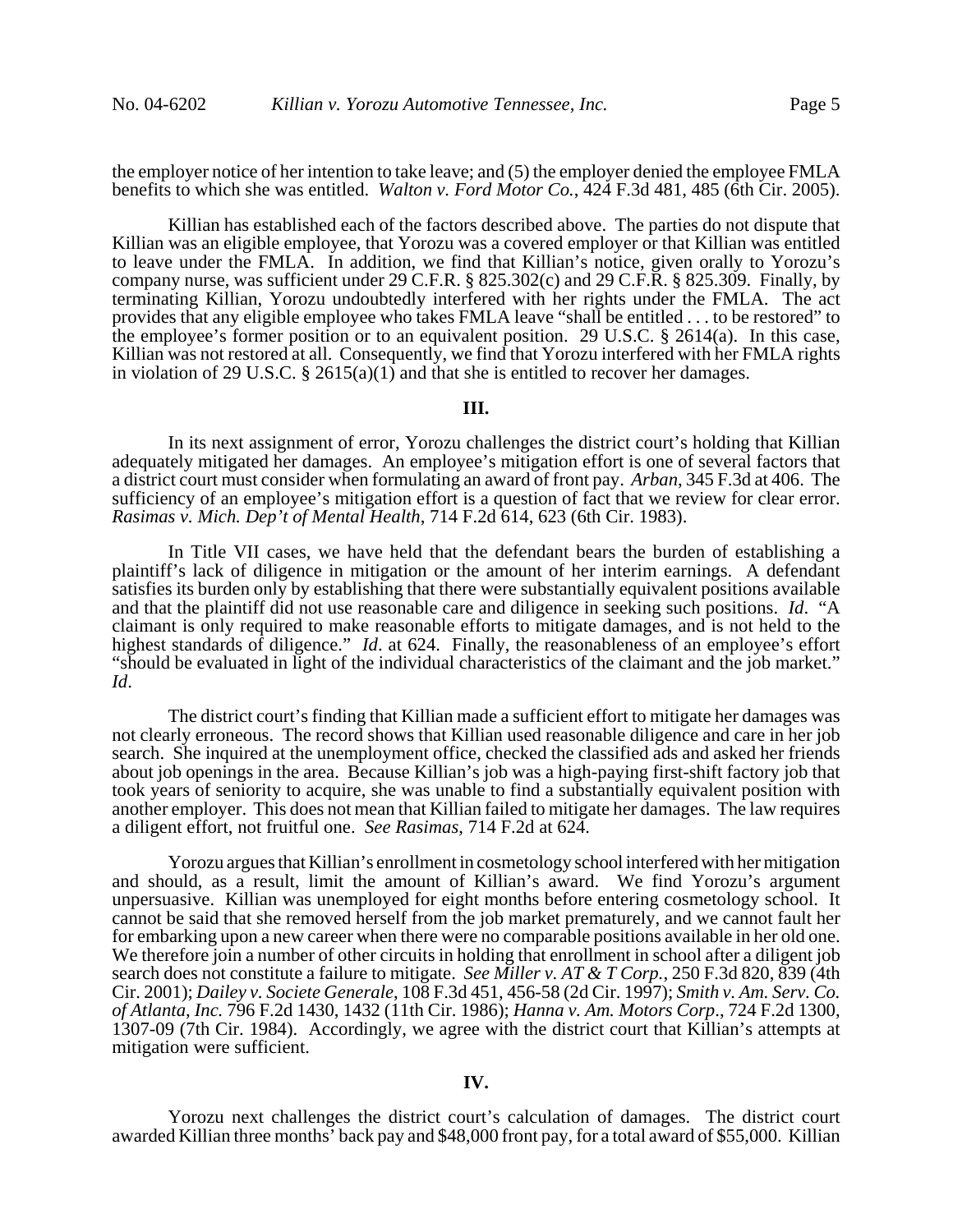the employer notice of her intention to take leave; and (5) the employer denied the employee FMLA benefits to which she was entitled. *Walton v. Ford Motor Co.*, 424 F.3d 481, 485 (6th Cir. 2005).

Killian has established each of the factors described above. The parties do not dispute that Killian was an eligible employee, that Yorozu was a covered employer or that Killian was entitled to leave under the FMLA. In addition, we find that Killian's notice, given orally to Yorozu's company nurse, was sufficient under 29 C.F.R. § 825.302(c) and 29 C.F.R. § 825.309. Finally, by terminating Killian, Yorozu undoubtedly interfered with her rights under the FMLA. The act provides that any eligible employee who takes FMLA leave "shall be entitled . . . to be restored" to the employee's former position or to an equivalent position. 29 U.S.C. § 2614(a). In this case, Killian was not restored at all. Consequently, we find that Yorozu interfered with her FMLA rights in violation of 29 U.S.C. § 2615(a)(1) and that she is entitled to recover her damages.

#### **III.**

In its next assignment of error, Yorozu challenges the district court's holding that Killian adequately mitigated her damages. An employee's mitigation effort is one of several factors that a district court must consider when formulating an award of front pay. *Arban*, 345 F.3d at 406. The sufficiency of an employee's mitigation effort is a question of fact that we review for clear error. *Rasimas v. Mich. Dep't of Mental Health*, 714 F.2d 614, 623 (6th Cir. 1983).

In Title VII cases, we have held that the defendant bears the burden of establishing a plaintiff's lack of diligence in mitigation or the amount of her interim earnings. A defendant satisfies its burden only by establishing that there were substantially equivalent positions available and that the plaintiff did not use reasonable care and diligence in seeking such positions. *Id*. "A claimant is only required to make reasonable efforts to mitigate damages, and is not held to the highest standards of diligence." *Id*. at 624. Finally, the reasonableness of an employee's effort "should be evaluated in light of the individual characteristics of the claimant and the job market." *Id*.

The district court's finding that Killian made a sufficient effort to mitigate her damages was not clearly erroneous. The record shows that Killian used reasonable diligence and care in her job search. She inquired at the unemployment office, checked the classified ads and asked her friends about job openings in the area. Because Killian's job was a high-paying first-shift factory job that took years of seniority to acquire, she was unable to find a substantially equivalent position with another employer. This does not mean that Killian failed to mitigate her damages. The law requires a diligent effort, not fruitful one. *See Rasimas*, 714 F.2d at 624.

Yorozu argues that Killian's enrollment in cosmetology school interfered with her mitigation and should, as a result, limit the amount of Killian's award. We find Yorozu's argument unpersuasive. Killian was unemployed for eight months before entering cosmetology school. It cannot be said that she removed herself from the job market prematurely, and we cannot fault her for embarking upon a new career when there were no comparable positions available in her old one. We therefore join a number of other circuits in holding that enrollment in school after a diligent job search does not constitute a failure to mitigate. *See Miller v. AT & T Corp.*, 250 F.3d 820, 839 (4th Cir. 2001); *Dailey v. Societe Generale*, 108 F.3d 451, 456-58 (2d Cir. 1997); *Smith v. Am. Serv. Co. of Atlanta, Inc.* 796 F.2d 1430, 1432 (11th Cir. 1986); *Hanna v. Am. Motors Corp*., 724 F.2d 1300, 1307-09 (7th Cir. 1984). Accordingly, we agree with the district court that Killian's attempts at mitigation were sufficient.

# **IV.**

Yorozu next challenges the district court's calculation of damages. The district court awarded Killian three months' back pay and \$48,000 front pay, for a total award of \$55,000. Killian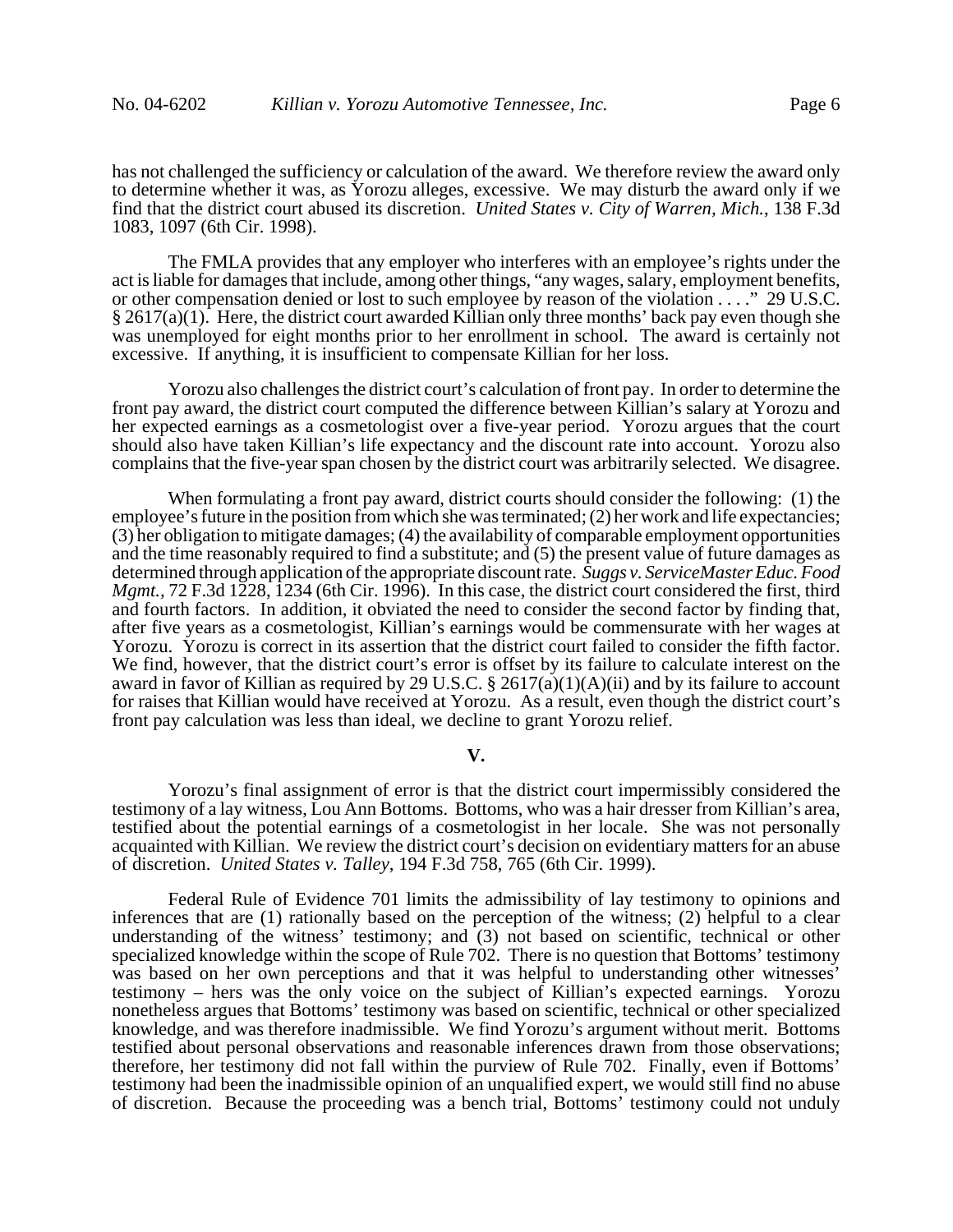has not challenged the sufficiency or calculation of the award. We therefore review the award only to determine whether it was, as Yorozu alleges, excessive. We may disturb the award only if we find that the district court abused its discretion. *United States v. City of Warren, Mich.*, 138 F.3d 1083, 1097 (6th Cir. 1998).

The FMLA provides that any employer who interferes with an employee's rights under the act is liable for damages that include, among other things, "any wages, salary, employment benefits, or other compensation denied or lost to such employee by reason of the violation . . . ." 29 U.S.C.  $§$  2617(a)(1). Here, the district court awarded Killian only three months' back pay even though she was unemployed for eight months prior to her enrollment in school. The award is certainly not excessive. If anything, it is insufficient to compensate Killian for her loss.

Yorozu also challenges the district court's calculation of front pay. In order to determine the front pay award, the district court computed the difference between Killian's salary at Yorozu and her expected earnings as a cosmetologist over a five-year period. Yorozu argues that the court should also have taken Killian's life expectancy and the discount rate into account. Yorozu also complains that the five-year span chosen by the district court was arbitrarily selected. We disagree.

When formulating a front pay award, district courts should consider the following: (1) the employee's future in the position from which she was terminated; (2) her work and life expectancies; (3) her obligation to mitigate damages; (4) the availability of comparable employment opportunities and the time reasonably required to find a substitute; and (5) the present value of future damages as determined through application of the appropriate discount rate. *Suggs v. ServiceMaster Educ. Food Mgmt.,* 72 F.3d 1228, 1234 (6th Cir. 1996). In this case, the district court considered the first, third and fourth factors. In addition, it obviated the need to consider the second factor by finding that, after five years as a cosmetologist, Killian's earnings would be commensurate with her wages at Yorozu. Yorozu is correct in its assertion that the district court failed to consider the fifth factor. We find, however, that the district court's error is offset by its failure to calculate interest on the award in favor of Killian as required by 29 U.S.C. § 2617(a)(1)(A)(ii) and by its failure to account for raises that Killian would have received at Yorozu. As a result, even though the district court's front pay calculation was less than ideal, we decline to grant Yorozu relief.

## **V.**

Yorozu's final assignment of error is that the district court impermissibly considered the testimony of a lay witness, Lou Ann Bottoms. Bottoms, who was a hair dresser from Killian's area, testified about the potential earnings of a cosmetologist in her locale. She was not personally acquainted with Killian. We review the district court's decision on evidentiary matters for an abuse of discretion. *United States v. Talley*, 194 F.3d 758, 765 (6th Cir. 1999).

Federal Rule of Evidence 701 limits the admissibility of lay testimony to opinions and inferences that are (1) rationally based on the perception of the witness; (2) helpful to a clear understanding of the witness' testimony; and (3) not based on scientific, technical or other specialized knowledge within the scope of Rule 702. There is no question that Bottoms' testimony was based on her own perceptions and that it was helpful to understanding other witnesses' testimony – hers was the only voice on the subject of Killian's expected earnings. Yorozu nonetheless argues that Bottoms' testimony was based on scientific, technical or other specialized knowledge, and was therefore inadmissible. We find Yorozu's argument without merit. Bottoms testified about personal observations and reasonable inferences drawn from those observations; therefore, her testimony did not fall within the purview of Rule 702. Finally, even if Bottoms' testimony had been the inadmissible opinion of an unqualified expert, we would still find no abuse of discretion. Because the proceeding was a bench trial, Bottoms' testimony could not unduly